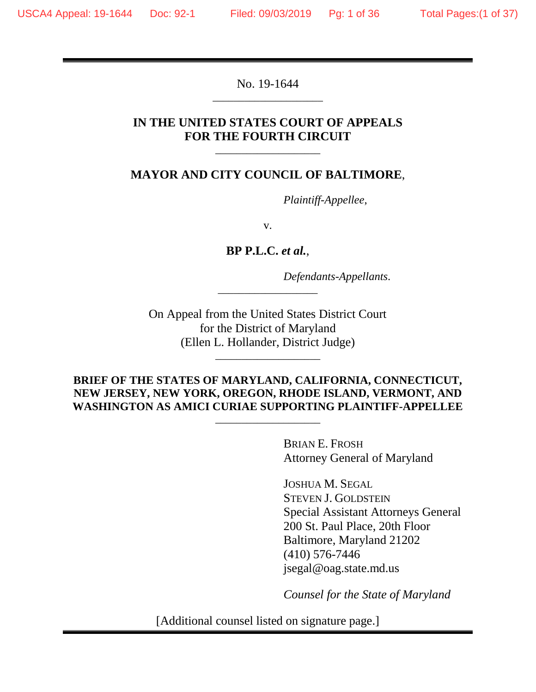No. 19-1644 \_\_\_\_\_\_\_\_\_\_\_\_\_\_\_\_\_\_\_\_\_

## **IN THE UNITED STATES COURT OF APPEALS FOR THE FOURTH CIRCUIT**

\_\_\_\_\_\_\_\_\_\_\_\_\_\_\_\_\_\_\_\_

#### **MAYOR AND CITY COUNCIL OF BALTIMORE**,

*Plaintiff-Appellee*,

v.

**BP P.L.C.** *et al.*,

\_\_\_\_\_\_\_\_\_\_\_\_\_\_\_\_\_\_\_

*Defendants-Appellants*.

On Appeal from the United States District Court for the District of Maryland (Ellen L. Hollander, District Judge)

\_\_\_\_\_\_\_\_\_\_\_\_\_\_\_\_\_\_\_\_

#### **BRIEF OF THE STATES OF MARYLAND, CALIFORNIA, CONNECTICUT, NEW JERSEY, NEW YORK, OREGON, RHODE ISLAND, VERMONT, AND WASHINGTON AS AMICI CURIAE SUPPORTING PLAINTIFF-APPELLEE**

\_\_\_\_\_\_\_\_\_\_\_\_\_\_\_\_\_\_\_\_

BRIAN E. FROSH Attorney General of Maryland

JOSHUA M. SEGAL STEVEN J. GOLDSTEIN Special Assistant Attorneys General 200 St. Paul Place, 20th Floor Baltimore, Maryland 21202 (410) 576-7446 jsegal@oag.state.md.us

*Counsel for the State of Maryland* 

[Additional counsel listed on signature page.]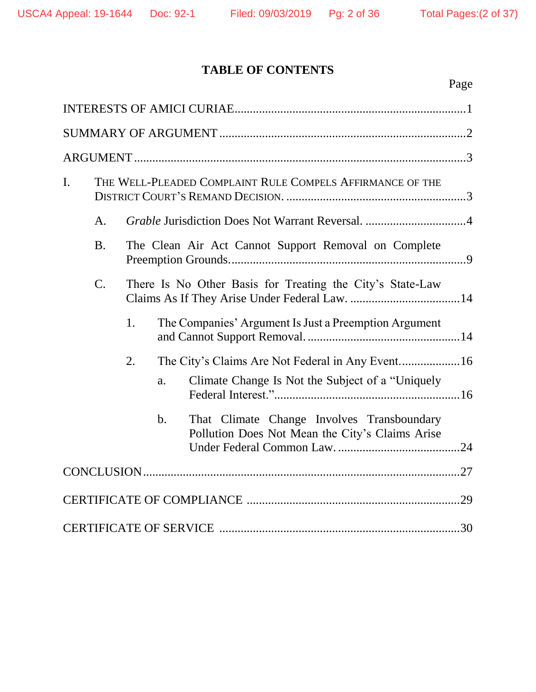# **TABLE OF CONTENTS**

| $\mathbf{I}$ .<br>THE WELL-PLEADED COMPLAINT RULE COMPELS AFFIRMANCE OF THE                         |
|-----------------------------------------------------------------------------------------------------|
| A.                                                                                                  |
| <b>B.</b><br>The Clean Air Act Cannot Support Removal on Complete                                   |
| $\mathcal{C}$ .<br>There Is No Other Basis for Treating the City's State-Law                        |
| 1.<br>The Companies' Argument Is Just a Preemption Argument                                         |
| 2.                                                                                                  |
| Climate Change Is Not the Subject of a "Uniquely"<br>a.                                             |
| That Climate Change Involves Transboundary<br>b.<br>Pollution Does Not Mean the City's Claims Arise |
|                                                                                                     |
|                                                                                                     |
|                                                                                                     |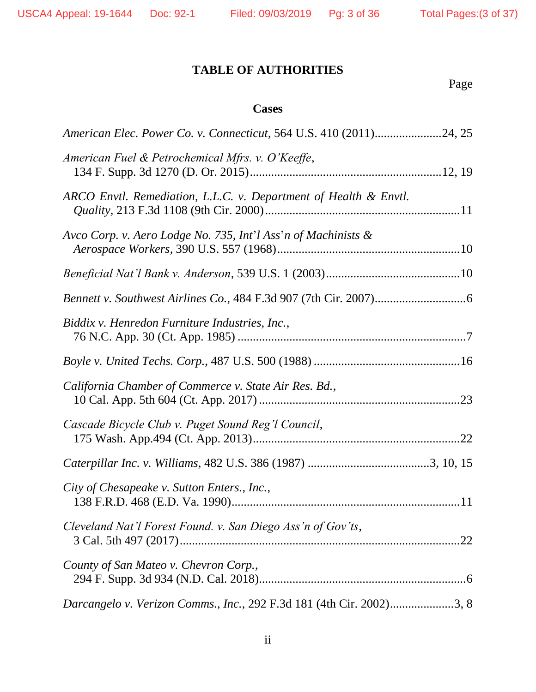# **TABLE OF AUTHORITIES**

Page

# **Cases**

| American Elec. Power Co. v. Connecticut, 564 U.S. 410 (2011)24, 25   |
|----------------------------------------------------------------------|
| American Fuel & Petrochemical Mfrs. v. O'Keeffe,                     |
| ARCO Envtl. Remediation, L.L.C. v. Department of Health & Envtl.     |
| Avco Corp. v. Aero Lodge No. 735, Int'l Ass'n of Machinists &        |
|                                                                      |
|                                                                      |
| Biddix v. Henredon Furniture Industries, Inc.,                       |
|                                                                      |
| California Chamber of Commerce v. State Air Res. Bd.,                |
| Cascade Bicycle Club v. Puget Sound Reg'l Council,                   |
|                                                                      |
| City of Chesapeake v. Sutton Enters., Inc.,                          |
| Cleveland Nat'l Forest Found. v. San Diego Ass'n of Gov'ts,          |
| County of San Mateo v. Chevron Corp.,                                |
| Darcangelo v. Verizon Comms., Inc., 292 F.3d 181 (4th Cir. 2002)3, 8 |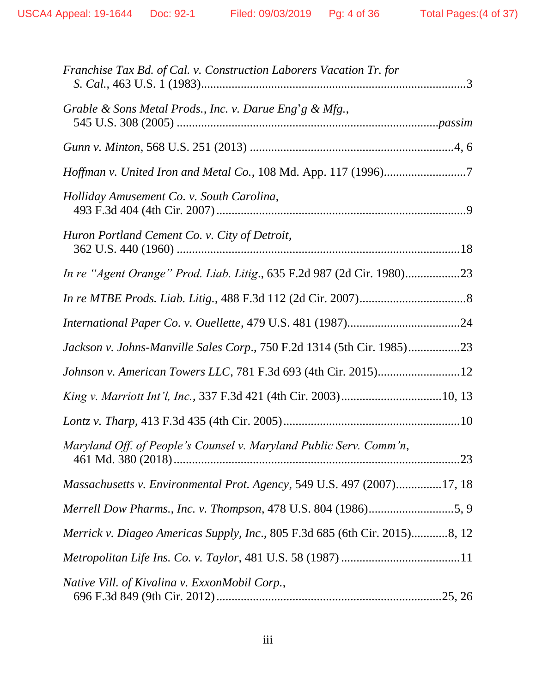| Franchise Tax Bd. of Cal. v. Construction Laborers Vacation Tr. for        |
|----------------------------------------------------------------------------|
| Grable & Sons Metal Prods., Inc. v. Darue Eng'g & Mfg.,                    |
|                                                                            |
| <i>Hoffman v. United Iron and Metal Co., 108 Md. App. 117 (1996)</i> 7     |
| Holliday Amusement Co. v. South Carolina,                                  |
| Huron Portland Cement Co. v. City of Detroit,                              |
| In re "Agent Orange" Prod. Liab. Litig., 635 F.2d 987 (2d Cir. 1980)23     |
|                                                                            |
|                                                                            |
| Jackson v. Johns-Manville Sales Corp., 750 F.2d 1314 (5th Cir. 1985)23     |
|                                                                            |
|                                                                            |
|                                                                            |
| Maryland Off. of People's Counsel v. Maryland Public Serv. Comm'n,         |
| Massachusetts v. Environmental Prot. Agency, 549 U.S. 497 (2007)17, 18     |
| Merrell Dow Pharms., Inc. v. Thompson, 478 U.S. 804 (1986)5, 9             |
| Merrick v. Diageo Americas Supply, Inc., 805 F.3d 685 (6th Cir. 2015)8, 12 |
|                                                                            |
| Native Vill. of Kivalina v. ExxonMobil Corp.,                              |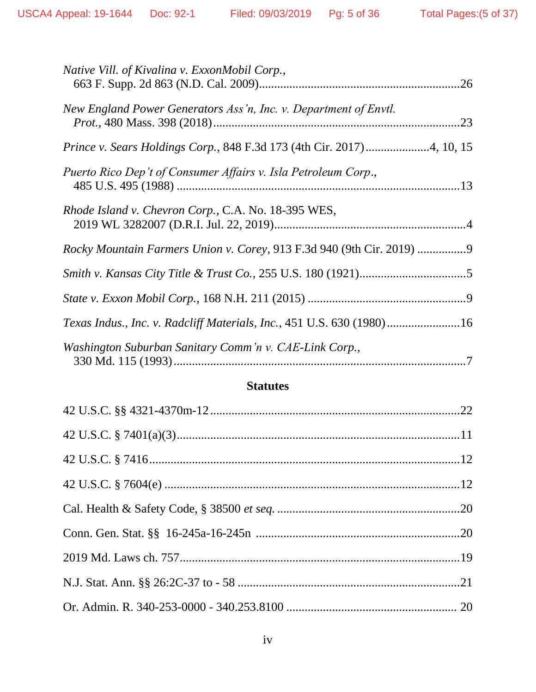| Native Vill. of Kivalina v. ExxonMobil Corp.,                         |  |
|-----------------------------------------------------------------------|--|
| New England Power Generators Ass'n, Inc. v. Department of Envtl.      |  |
|                                                                       |  |
| Puerto Rico Dep't of Consumer Affairs v. Isla Petroleum Corp.,        |  |
| Rhode Island v. Chevron Corp., C.A. No. 18-395 WES,                   |  |
| Rocky Mountain Farmers Union v. Corey, 913 F.3d 940 (9th Cir. 2019)   |  |
|                                                                       |  |
|                                                                       |  |
| Texas Indus., Inc. v. Radcliff Materials, Inc., 451 U.S. 630 (1980)16 |  |
| Washington Suburban Sanitary Comm'n v. CAE-Link Corp.,                |  |
|                                                                       |  |

#### **Statutes**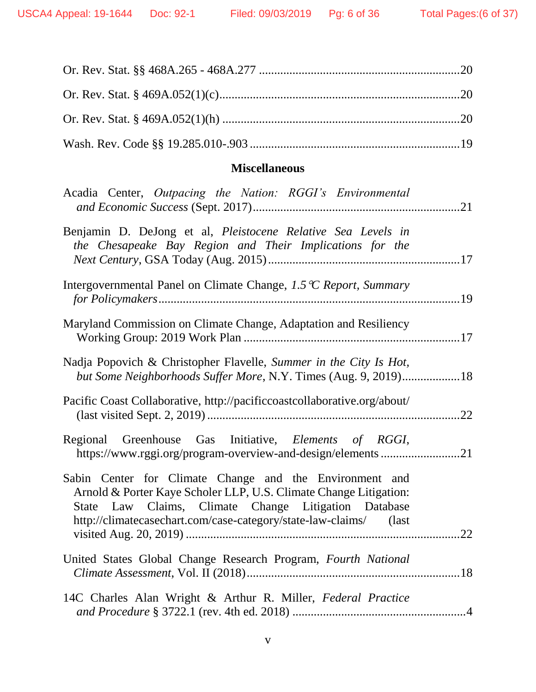# **Miscellaneous**

| Acadia Center, Outpacing the Nation: RGGI's Environmental                                                                                                                                                                                                 |  |
|-----------------------------------------------------------------------------------------------------------------------------------------------------------------------------------------------------------------------------------------------------------|--|
| Benjamin D. DeJong et al, Pleistocene Relative Sea Levels in<br>the Chesapeake Bay Region and Their Implications for the                                                                                                                                  |  |
| Intergovernmental Panel on Climate Change, $1.5\,^{\circ}$ C Report, Summary                                                                                                                                                                              |  |
| Maryland Commission on Climate Change, Adaptation and Resiliency                                                                                                                                                                                          |  |
| Nadja Popovich & Christopher Flavelle, Summer in the City Is Hot,<br>but Some Neighborhoods Suffer More, N.Y. Times (Aug. 9, 2019)18                                                                                                                      |  |
| Pacific Coast Collaborative, http://pacificcoastcollaborative.org/about/                                                                                                                                                                                  |  |
| Regional Greenhouse Gas Initiative, Elements of RGGI,<br>https://www.rggi.org/program-overview-and-design/elements 21                                                                                                                                     |  |
| Sabin Center for Climate Change and the Environment and<br>Arnold & Porter Kaye Scholer LLP, U.S. Climate Change Litigation:<br>State Law Claims, Climate Change Litigation Database<br>http://climatecasechart.com/case-category/state-law-claims/ (last |  |
| United States Global Change Research Program, Fourth National                                                                                                                                                                                             |  |
| 14C Charles Alan Wright & Arthur R. Miller, Federal Practice                                                                                                                                                                                              |  |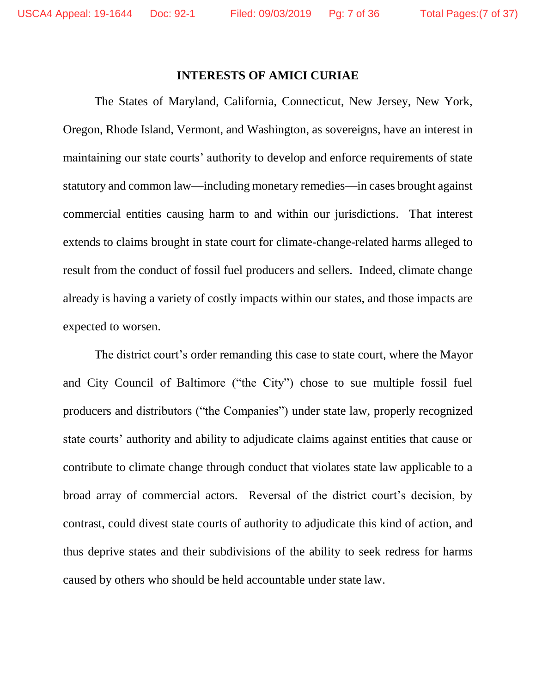#### **INTERESTS OF AMICI CURIAE**

The States of Maryland, California, Connecticut, New Jersey, New York, Oregon, Rhode Island, Vermont, and Washington, as sovereigns, have an interest in maintaining our state courts' authority to develop and enforce requirements of state statutory and common law—including monetary remedies—in cases brought against commercial entities causing harm to and within our jurisdictions. That interest extends to claims brought in state court for climate-change-related harms alleged to result from the conduct of fossil fuel producers and sellers. Indeed, climate change already is having a variety of costly impacts within our states, and those impacts are expected to worsen.

The district court's order remanding this case to state court, where the Mayor and City Council of Baltimore ("the City") chose to sue multiple fossil fuel producers and distributors ("the Companies") under state law, properly recognized state courts' authority and ability to adjudicate claims against entities that cause or contribute to climate change through conduct that violates state law applicable to a broad array of commercial actors. Reversal of the district court's decision, by contrast, could divest state courts of authority to adjudicate this kind of action, and thus deprive states and their subdivisions of the ability to seek redress for harms caused by others who should be held accountable under state law.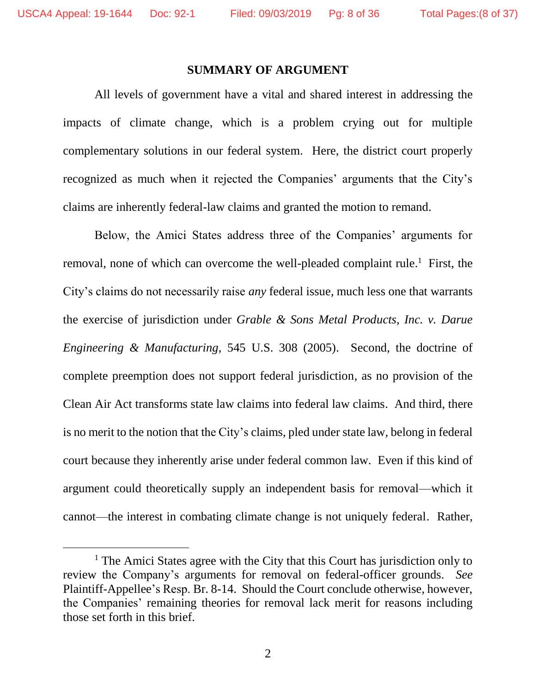$\overline{a}$ 

#### **SUMMARY OF ARGUMENT**

All levels of government have a vital and shared interest in addressing the impacts of climate change, which is a problem crying out for multiple complementary solutions in our federal system. Here, the district court properly recognized as much when it rejected the Companies' arguments that the City's claims are inherently federal-law claims and granted the motion to remand.

Below, the Amici States address three of the Companies' arguments for removal, none of which can overcome the well-pleaded complaint rule.<sup>1</sup> First, the City's claims do not necessarily raise *any* federal issue, much less one that warrants the exercise of jurisdiction under *Grable & Sons Metal Products, Inc. v. Darue Engineering & Manufacturing*, 545 U.S. 308 (2005). Second, the doctrine of complete preemption does not support federal jurisdiction, as no provision of the Clean Air Act transforms state law claims into federal law claims. And third, there is no merit to the notion that the City's claims, pled under state law, belong in federal court because they inherently arise under federal common law. Even if this kind of argument could theoretically supply an independent basis for removal—which it cannot—the interest in combating climate change is not uniquely federal. Rather,

<sup>&</sup>lt;sup>1</sup> The Amici States agree with the City that this Court has jurisdiction only to review the Company's arguments for removal on federal-officer grounds. *See* Plaintiff-Appellee's Resp. Br. 8-14. Should the Court conclude otherwise, however, the Companies' remaining theories for removal lack merit for reasons including those set forth in this brief.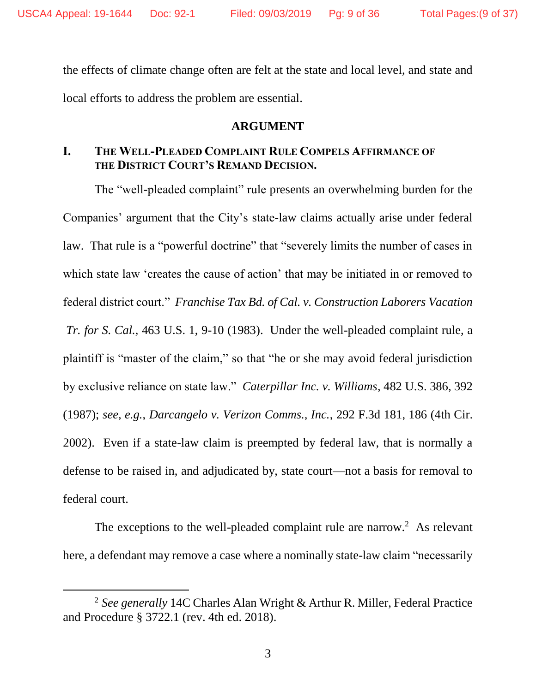the effects of climate change often are felt at the state and local level, and state and local efforts to address the problem are essential.

#### **ARGUMENT**

## **I. THE WELL-PLEADED COMPLAINT RULE COMPELS AFFIRMANCE OF THE DISTRICT COURT'S REMAND DECISION.**

The "well-pleaded complaint" rule presents an overwhelming burden for the Companies' argument that the City's state-law claims actually arise under federal law. That rule is a "powerful doctrine" that "severely limits the number of cases in which state law 'creates the cause of action' that may be initiated in or removed to federal district court." *Franchise Tax Bd. of Cal. v. Construction Laborers Vacation Tr. for S. Cal.*, 463 U.S. 1, 9-10 (1983). Under the well-pleaded complaint rule, a plaintiff is "master of the claim," so that "he or she may avoid federal jurisdiction by exclusive reliance on state law." *Caterpillar Inc. v. Williams*, 482 U.S. 386, 392 (1987); *see, e.g.*, *Darcangelo v. Verizon Comms., Inc.*, 292 F.3d 181, 186 (4th Cir. 2002). Even if a state-law claim is preempted by federal law, that is normally a defense to be raised in, and adjudicated by, state court—not a basis for removal to federal court.

The exceptions to the well-pleaded complaint rule are narrow.<sup>2</sup> As relevant here, a defendant may remove a case where a nominally state-law claim "necessarily

 $\overline{a}$ 

<sup>2</sup> *See generally* 14C Charles Alan Wright & Arthur R. Miller, Federal Practice and Procedure § 3722.1 (rev. 4th ed. 2018).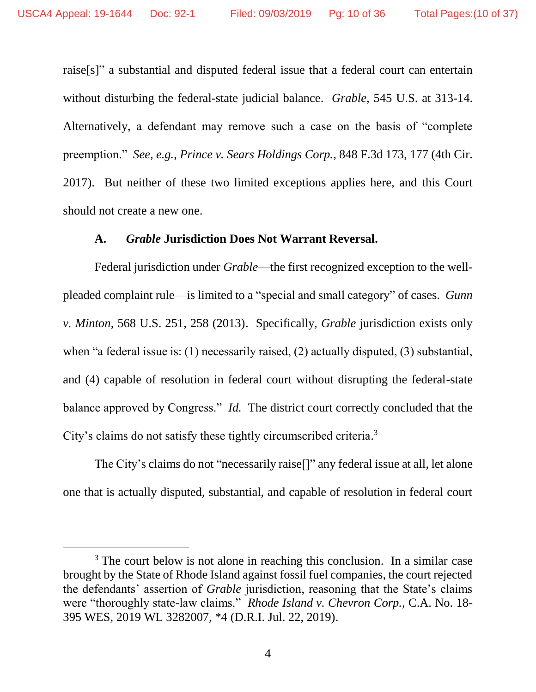raise[s]" a substantial and disputed federal issue that a federal court can entertain without disturbing the federal-state judicial balance. *Grable*, 545 U.S. at 313-14. Alternatively, a defendant may remove such a case on the basis of "complete preemption." *See, e.g.*, *Prince v. Sears Holdings Corp.*, 848 F.3d 173, 177 (4th Cir. 2017). But neither of these two limited exceptions applies here, and this Court should not create a new one.

#### **A.** *Grable* **Jurisdiction Does Not Warrant Reversal.**

Federal jurisdiction under *Grable*—the first recognized exception to the wellpleaded complaint rule—is limited to a "special and small category" of cases. *Gunn v. Minton*, 568 U.S. 251, 258 (2013). Specifically, *Grable* jurisdiction exists only when "a federal issue is: (1) necessarily raised, (2) actually disputed, (3) substantial, and (4) capable of resolution in federal court without disrupting the federal-state balance approved by Congress." *Id.* The district court correctly concluded that the City's claims do not satisfy these tightly circumscribed criteria. 3

The City's claims do not "necessarily raise[]" any federal issue at all, let alone one that is actually disputed, substantial, and capable of resolution in federal court

 $\overline{a}$ 

<sup>&</sup>lt;sup>3</sup> The court below is not alone in reaching this conclusion. In a similar case brought by the State of Rhode Island against fossil fuel companies, the court rejected the defendants' assertion of *Grable* jurisdiction, reasoning that the State's claims were "thoroughly state-law claims." *Rhode Island v. Chevron Corp.*, C.A. No. 18- 395 WES, 2019 WL 3282007, \*4 (D.R.I. Jul. 22, 2019).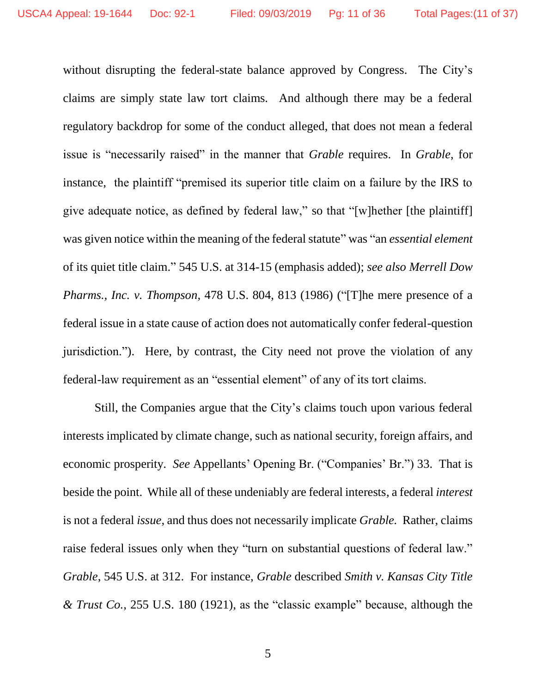without disrupting the federal-state balance approved by Congress. The City's claims are simply state law tort claims. And although there may be a federal regulatory backdrop for some of the conduct alleged, that does not mean a federal issue is "necessarily raised" in the manner that *Grable* requires. In *Grable*, for instance, the plaintiff "premised its superior title claim on a failure by the IRS to give adequate notice, as defined by federal law," so that "[w]hether [the plaintiff] was given notice within the meaning of the federal statute" was "an *essential element* of its quiet title claim." 545 U.S. at 314-15 (emphasis added); *see also Merrell Dow Pharms., Inc. v. Thompson*, 478 U.S. 804, 813 (1986) ("[T]he mere presence of a federal issue in a state cause of action does not automatically confer federal-question jurisdiction."). Here, by contrast, the City need not prove the violation of any federal-law requirement as an "essential element" of any of its tort claims.

Still, the Companies argue that the City's claims touch upon various federal interests implicated by climate change, such as national security, foreign affairs, and economic prosperity. *See* Appellants' Opening Br. ("Companies' Br.") 33. That is beside the point. While all of these undeniably are federal interests, a federal *interest* is not a federal *issue*, and thus does not necessarily implicate *Grable.* Rather, claims raise federal issues only when they "turn on substantial questions of federal law." *Grable*, 545 U.S. at 312. For instance, *Grable* described *Smith v. Kansas City Title & Trust Co.*, 255 U.S. 180 (1921), as the "classic example" because, although the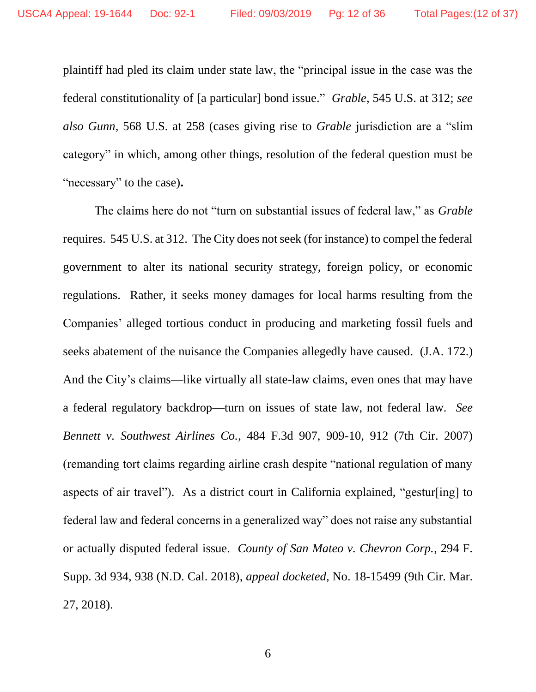plaintiff had pled its claim under state law, the "principal issue in the case was the federal constitutionality of [a particular] bond issue." *Grable*, 545 U.S. at 312; *see also Gunn*, 568 U.S. at 258 (cases giving rise to *Grable* jurisdiction are a "slim category" in which, among other things, resolution of the federal question must be "necessary" to the case)**.**

The claims here do not "turn on substantial issues of federal law," as *Grable* requires. 545 U.S. at 312. The City does not seek (for instance) to compel the federal government to alter its national security strategy, foreign policy, or economic regulations. Rather, it seeks money damages for local harms resulting from the Companies' alleged tortious conduct in producing and marketing fossil fuels and seeks abatement of the nuisance the Companies allegedly have caused. (J.A. 172.) And the City's claims—like virtually all state-law claims, even ones that may have a federal regulatory backdrop—turn on issues of state law, not federal law. *See Bennett v. Southwest Airlines Co.*, 484 F.3d 907, 909-10, 912 (7th Cir. 2007) (remanding tort claims regarding airline crash despite "national regulation of many aspects of air travel"). As a district court in California explained, "gestur[ing] to federal law and federal concerns in a generalized way" does not raise any substantial or actually disputed federal issue. *County of San Mateo v. Chevron Corp.*, 294 F. Supp. 3d 934, 938 (N.D. Cal. 2018), *appeal docketed*, No. 18-15499 (9th Cir. Mar. 27, 2018).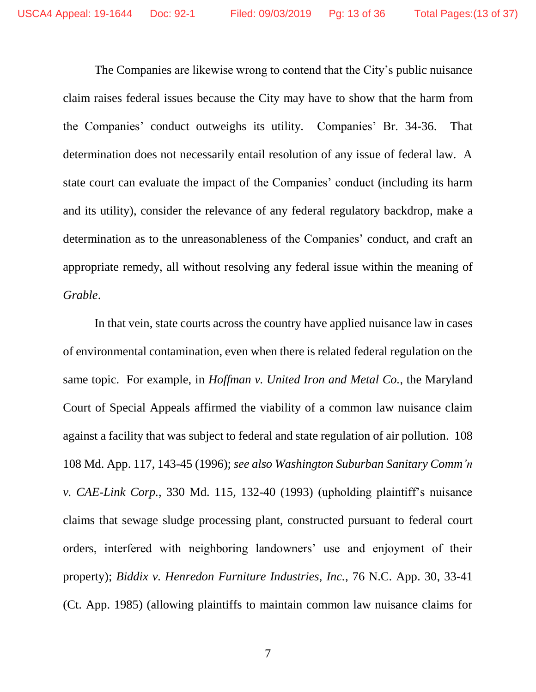The Companies are likewise wrong to contend that the City's public nuisance claim raises federal issues because the City may have to show that the harm from the Companies' conduct outweighs its utility. Companies' Br. 34-36. That determination does not necessarily entail resolution of any issue of federal law. A state court can evaluate the impact of the Companies' conduct (including its harm and its utility), consider the relevance of any federal regulatory backdrop, make a determination as to the unreasonableness of the Companies' conduct, and craft an appropriate remedy, all without resolving any federal issue within the meaning of *Grable*.

In that vein, state courts across the country have applied nuisance law in cases of environmental contamination, even when there is related federal regulation on the same topic. For example, in *Hoffman v. United Iron and Metal Co.*, the Maryland Court of Special Appeals affirmed the viability of a common law nuisance claim against a facility that was subject to federal and state regulation of air pollution. 108 108 Md. App. 117, 143-45 (1996); *see also Washington Suburban Sanitary Comm'n v. CAE-Link Corp.*, 330 Md. 115, 132-40 (1993) (upholding plaintiff's nuisance claims that sewage sludge processing plant, constructed pursuant to federal court orders, interfered with neighboring landowners' use and enjoyment of their property); *Biddix v. Henredon Furniture Industries, Inc.*, 76 N.C. App. 30, 33-41 (Ct. App. 1985) (allowing plaintiffs to maintain common law nuisance claims for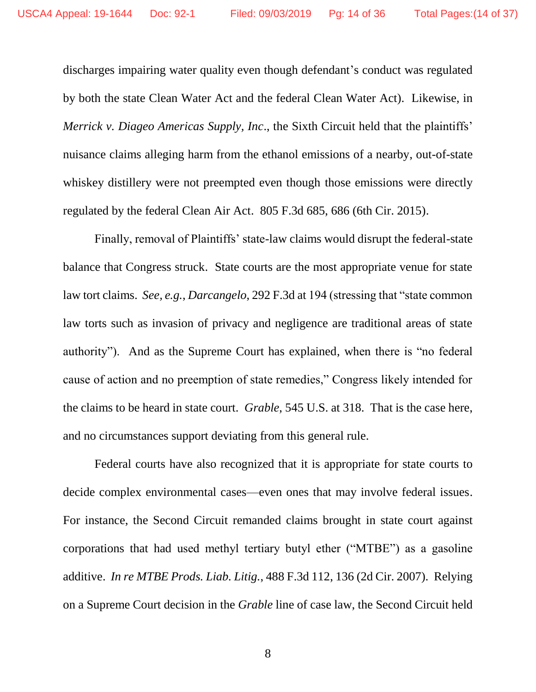discharges impairing water quality even though defendant's conduct was regulated by both the state Clean Water Act and the federal Clean Water Act). Likewise, in *Merrick v. Diageo Americas Supply, Inc., the Sixth Circuit held that the plaintiffs'* nuisance claims alleging harm from the ethanol emissions of a nearby, out-of-state whiskey distillery were not preempted even though those emissions were directly regulated by the federal Clean Air Act. 805 F.3d 685, 686 (6th Cir. 2015).

Finally, removal of Plaintiffs' state-law claims would disrupt the federal-state balance that Congress struck. State courts are the most appropriate venue for state law tort claims. *See, e.g.*, *Darcangelo*, 292 F.3d at 194 (stressing that "state common law torts such as invasion of privacy and negligence are traditional areas of state authority"). And as the Supreme Court has explained, when there is "no federal cause of action and no preemption of state remedies," Congress likely intended for the claims to be heard in state court. *Grable*, 545 U.S. at 318. That is the case here, and no circumstances support deviating from this general rule.

Federal courts have also recognized that it is appropriate for state courts to decide complex environmental cases—even ones that may involve federal issues. For instance, the Second Circuit remanded claims brought in state court against corporations that had used methyl tertiary butyl ether ("MTBE") as a gasoline additive. *In re MTBE Prods. Liab. Litig.*, 488 F.3d 112, 136 (2d Cir. 2007). Relying on a Supreme Court decision in the *Grable* line of case law, the Second Circuit held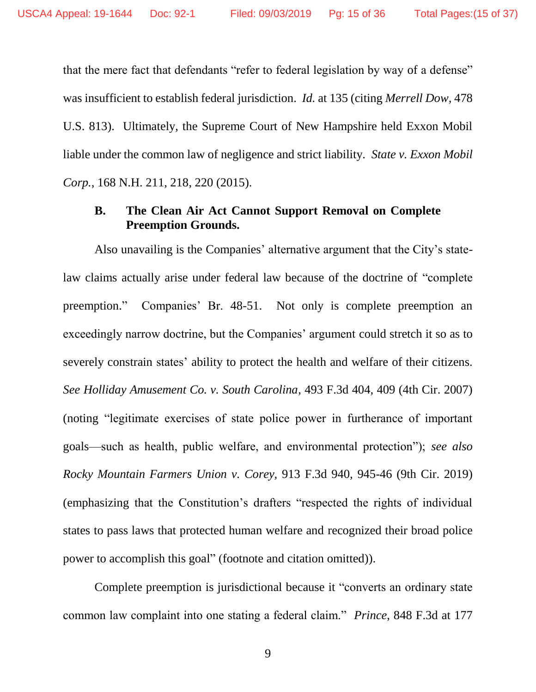that the mere fact that defendants "refer to federal legislation by way of a defense" was insufficient to establish federal jurisdiction. *Id.* at 135 (citing *Merrell Dow*, 478 U.S. 813). Ultimately, the Supreme Court of New Hampshire held Exxon Mobil liable under the common law of negligence and strict liability. *State v. Exxon Mobil Corp.*, 168 N.H. 211, 218, 220 (2015).

## **B. The Clean Air Act Cannot Support Removal on Complete Preemption Grounds.**

Also unavailing is the Companies' alternative argument that the City's statelaw claims actually arise under federal law because of the doctrine of "complete preemption." Companies' Br. 48-51. Not only is complete preemption an exceedingly narrow doctrine, but the Companies' argument could stretch it so as to severely constrain states' ability to protect the health and welfare of their citizens. *See Holliday Amusement Co. v. South Carolina*, 493 F.3d 404, 409 (4th Cir. 2007) (noting "legitimate exercises of state police power in furtherance of important goals—such as health, public welfare, and environmental protection"); *see also Rocky Mountain Farmers Union v. Corey,* 913 F.3d 940, 945-46 (9th Cir. 2019) (emphasizing that the Constitution's drafters "respected the rights of individual states to pass laws that protected human welfare and recognized their broad police power to accomplish this goal" (footnote and citation omitted)).

Complete preemption is jurisdictional because it "converts an ordinary state common law complaint into one stating a federal claim." *Prince*, 848 F.3d at 177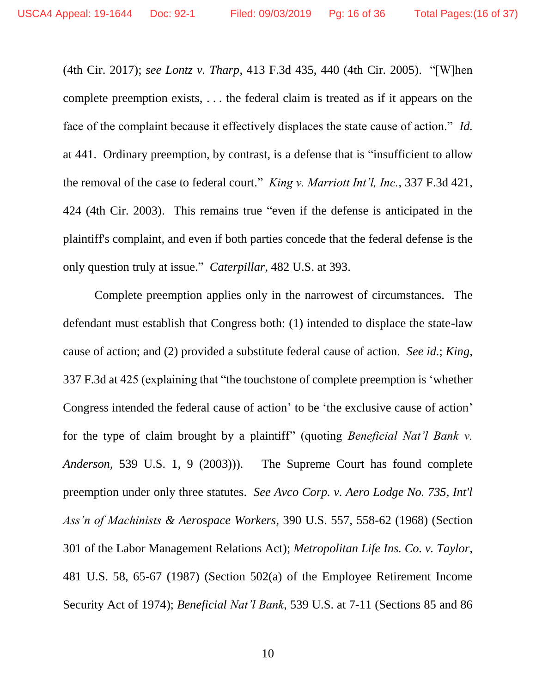(4th Cir. 2017); *see Lontz v. Tharp*, 413 F.3d 435, 440 (4th Cir. 2005). "[W]hen complete preemption exists, . . . the federal claim is treated as if it appears on the face of the complaint because it effectively displaces the state cause of action." *Id.* at 441. Ordinary preemption, by contrast, is a defense that is "insufficient to allow the removal of the case to federal court." *King v. Marriott Int'l, Inc.*, 337 F.3d 421, 424 (4th Cir. 2003). This remains true "even if the defense is anticipated in the plaintiff's complaint, and even if both parties concede that the federal defense is the only question truly at issue." *Caterpillar*, 482 U.S. at 393.

Complete preemption applies only in the narrowest of circumstances. The defendant must establish that Congress both: (1) intended to displace the state-law cause of action; and (2) provided a substitute federal cause of action. *See id.*; *King*, 337 F.3d at 425 (explaining that "the touchstone of complete preemption is 'whether Congress intended the federal cause of action' to be 'the exclusive cause of action' for the type of claim brought by a plaintiff" (quoting *Beneficial Nat'l Bank v. Anderson*, 539 U.S. 1, 9 (2003))). The Supreme Court has found complete preemption under only three statutes. *See Avco Corp. v. Aero Lodge No. 735, Int'l Ass'n of Machinists & Aerospace Workers*, 390 U.S. 557, 558-62 (1968) (Section 301 of the Labor Management Relations Act); *Metropolitan Life Ins. Co. v. Taylor*, 481 U.S. 58, 65-67 (1987) (Section 502(a) of the Employee Retirement Income Security Act of 1974); *Beneficial Nat'l Bank*, 539 U.S. at 7-11 (Sections 85 and 86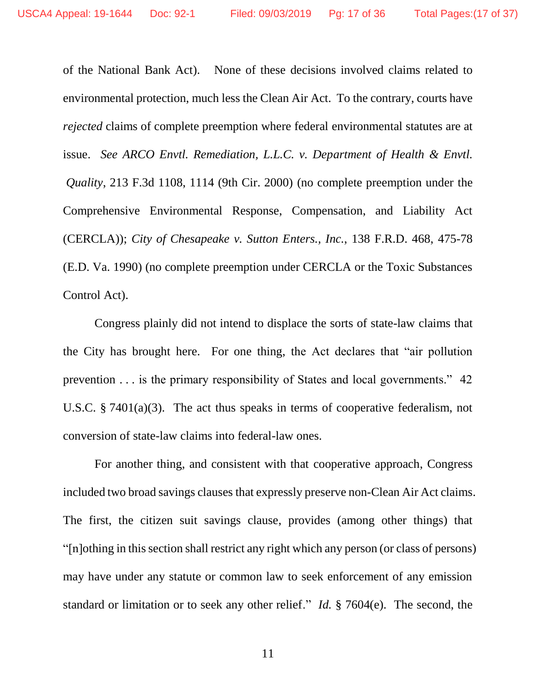of the National Bank Act). None of these decisions involved claims related to environmental protection, much less the Clean Air Act. To the contrary, courts have *rejected* claims of complete preemption where federal environmental statutes are at issue. *See ARCO Envtl. Remediation, L.L.C. v. Department of Health & Envtl. Quality*, 213 F.3d 1108, 1114 (9th Cir. 2000) (no complete preemption under the Comprehensive Environmental Response, Compensation, and Liability Act (CERCLA)); *City of Chesapeake v. Sutton Enters., Inc.*, 138 F.R.D. 468, 475-78 (E.D. Va. 1990) (no complete preemption under CERCLA or the Toxic Substances Control Act).

Congress plainly did not intend to displace the sorts of state-law claims that the City has brought here. For one thing, the Act declares that "air pollution prevention . . . is the primary responsibility of States and local governments." 42 U.S.C. § 7401(a)(3). The act thus speaks in terms of cooperative federalism, not conversion of state-law claims into federal-law ones.

For another thing, and consistent with that cooperative approach, Congress included two broad savings clauses that expressly preserve non-Clean Air Act claims. The first, the citizen suit savings clause, provides (among other things) that "[n]othing in this section shall restrict any right which any person (or class of persons) may have under any statute or common law to seek enforcement of any emission standard or limitation or to seek any other relief." *Id.* § 7604(e). The second, the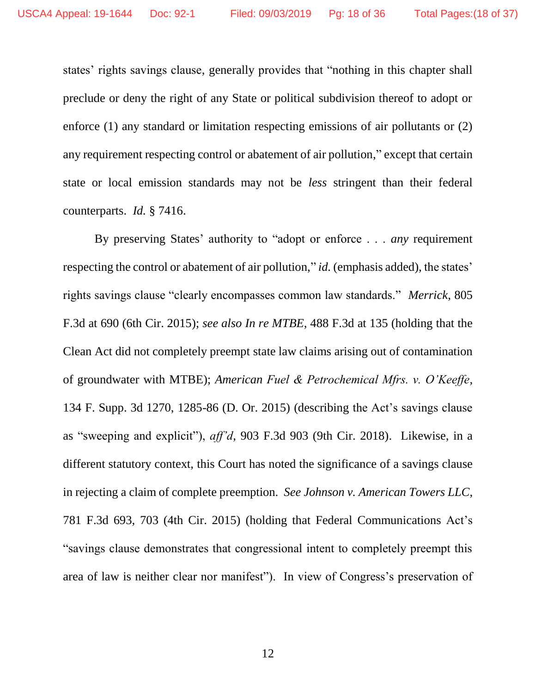states' rights savings clause, generally provides that "nothing in this chapter shall preclude or deny the right of any State or political subdivision thereof to adopt or enforce (1) any standard or limitation respecting emissions of air pollutants or (2) any requirement respecting control or abatement of air pollution," except that certain state or local emission standards may not be *less* stringent than their federal counterparts. *Id.* § 7416.

By preserving States' authority to "adopt or enforce . . . *any* requirement respecting the control or abatement of air pollution," *id.* (emphasis added), the states' rights savings clause "clearly encompasses common law standards." *Merrick*, 805 F.3d at 690 (6th Cir. 2015); *see also In re MTBE*, 488 F.3d at 135 (holding that the Clean Act did not completely preempt state law claims arising out of contamination of groundwater with MTBE); *American Fuel & Petrochemical Mfrs. v. O'Keeffe*, 134 F. Supp. 3d 1270, 1285-86 (D. Or. 2015) (describing the Act's savings clause as "sweeping and explicit"), *aff'd*, 903 F.3d 903 (9th Cir. 2018). Likewise, in a different statutory context, this Court has noted the significance of a savings clause in rejecting a claim of complete preemption. *See Johnson v. American Towers LLC*, 781 F.3d 693, 703 (4th Cir. 2015) (holding that Federal Communications Act's "savings clause demonstrates that congressional intent to completely preempt this area of law is neither clear nor manifest"). In view of Congress's preservation of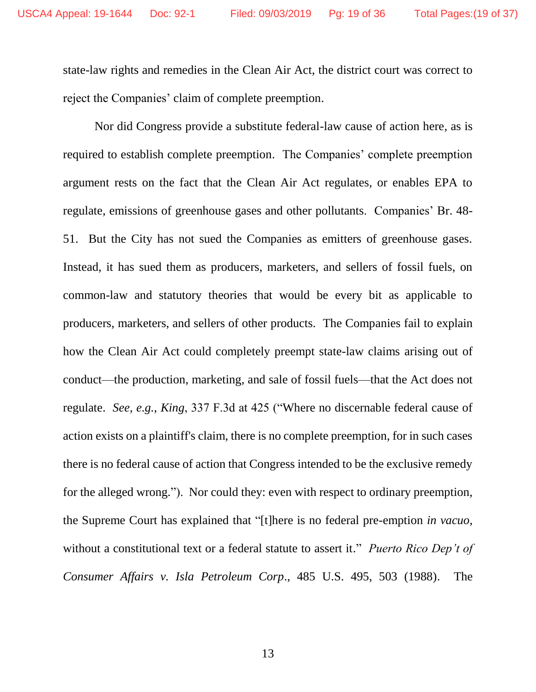state-law rights and remedies in the Clean Air Act, the district court was correct to reject the Companies' claim of complete preemption.

Nor did Congress provide a substitute federal-law cause of action here, as is required to establish complete preemption. The Companies' complete preemption argument rests on the fact that the Clean Air Act regulates, or enables EPA to regulate, emissions of greenhouse gases and other pollutants. Companies' Br. 48- 51. But the City has not sued the Companies as emitters of greenhouse gases. Instead, it has sued them as producers, marketers, and sellers of fossil fuels, on common-law and statutory theories that would be every bit as applicable to producers, marketers, and sellers of other products. The Companies fail to explain how the Clean Air Act could completely preempt state-law claims arising out of conduct—the production, marketing, and sale of fossil fuels—that the Act does not regulate. *See, e.g.*, *King*, 337 F.3d at 425 ("Where no discernable federal cause of action exists on a plaintiff's claim, there is no complete preemption, for in such cases there is no federal cause of action that Congress intended to be the exclusive remedy for the alleged wrong."). Nor could they: even with respect to ordinary preemption, the Supreme Court has explained that "[t]here is no federal pre-emption *in vacuo*, without a constitutional text or a federal statute to assert it." *Puerto Rico Dep't of Consumer Affairs v. Isla Petroleum Corp*., 485 U.S. 495, 503 (1988). The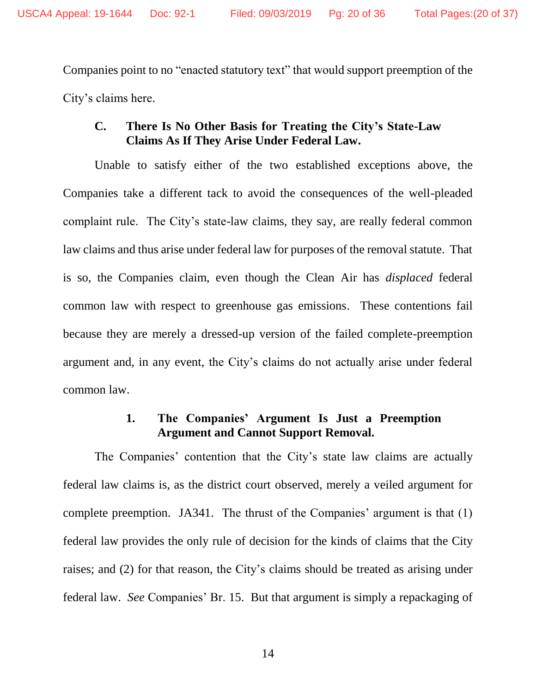Companies point to no "enacted statutory text" that would support preemption of the City's claims here.

# **C. There Is No Other Basis for Treating the City's State-Law Claims As If They Arise Under Federal Law.**

Unable to satisfy either of the two established exceptions above, the Companies take a different tack to avoid the consequences of the well-pleaded complaint rule. The City's state-law claims, they say, are really federal common law claims and thus arise under federal law for purposes of the removal statute. That is so, the Companies claim, even though the Clean Air has *displaced* federal common law with respect to greenhouse gas emissions. These contentions fail because they are merely a dressed-up version of the failed complete-preemption argument and, in any event, the City's claims do not actually arise under federal common law.

#### **1. The Companies' Argument Is Just a Preemption Argument and Cannot Support Removal.**

The Companies' contention that the City's state law claims are actually federal law claims is, as the district court observed, merely a veiled argument for complete preemption. JA341. The thrust of the Companies' argument is that (1) federal law provides the only rule of decision for the kinds of claims that the City raises; and (2) for that reason, the City's claims should be treated as arising under federal law. *See* Companies' Br. 15. But that argument is simply a repackaging of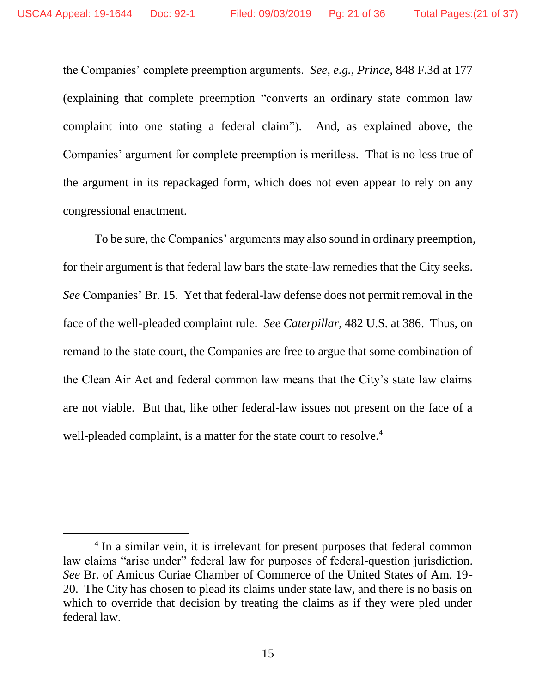the Companies' complete preemption arguments. *See, e.g.*, *Prince*, 848 F.3d at 177 (explaining that complete preemption "converts an ordinary state common law complaint into one stating a federal claim"). And, as explained above, the Companies' argument for complete preemption is meritless. That is no less true of the argument in its repackaged form, which does not even appear to rely on any congressional enactment.

To be sure, the Companies' arguments may also sound in ordinary preemption, for their argument is that federal law bars the state-law remedies that the City seeks. *See* Companies' Br. 15. Yet that federal-law defense does not permit removal in the face of the well-pleaded complaint rule. *See Caterpillar*, 482 U.S. at 386. Thus, on remand to the state court, the Companies are free to argue that some combination of the Clean Air Act and federal common law means that the City's state law claims are not viable. But that, like other federal-law issues not present on the face of a well-pleaded complaint, is a matter for the state court to resolve.<sup>4</sup>

 $\overline{a}$ 

<sup>&</sup>lt;sup>4</sup> In a similar vein, it is irrelevant for present purposes that federal common law claims "arise under" federal law for purposes of federal-question jurisdiction. *See* Br. of Amicus Curiae Chamber of Commerce of the United States of Am. 19- 20. The City has chosen to plead its claims under state law, and there is no basis on which to override that decision by treating the claims as if they were pled under federal law.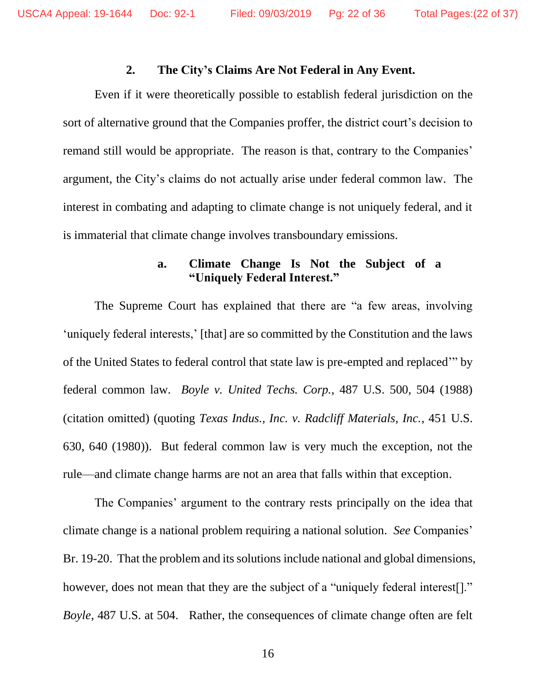#### **2. The City's Claims Are Not Federal in Any Event.**

Even if it were theoretically possible to establish federal jurisdiction on the sort of alternative ground that the Companies proffer, the district court's decision to remand still would be appropriate. The reason is that, contrary to the Companies' argument, the City's claims do not actually arise under federal common law. The interest in combating and adapting to climate change is not uniquely federal, and it is immaterial that climate change involves transboundary emissions.

# **a. Climate Change Is Not the Subject of a "Uniquely Federal Interest."**

The Supreme Court has explained that there are "a few areas, involving 'uniquely federal interests,' [that] are so committed by the Constitution and the laws of the United States to federal control that state law is pre-empted and replaced'" by federal common law. *Boyle v. United Techs. Corp.*, 487 U.S. 500, 504 (1988) (citation omitted) (quoting *Texas Indus., Inc. v. Radcliff Materials, Inc.*, 451 U.S. 630, 640 (1980)). But federal common law is very much the exception, not the rule—and climate change harms are not an area that falls within that exception.

The Companies' argument to the contrary rests principally on the idea that climate change is a national problem requiring a national solution. *See* Companies' Br. 19-20. That the problem and its solutions include national and global dimensions, however, does not mean that they are the subject of a "uniquely federal interest." *Boyle*, 487 U.S. at 504. Rather, the consequences of climate change often are felt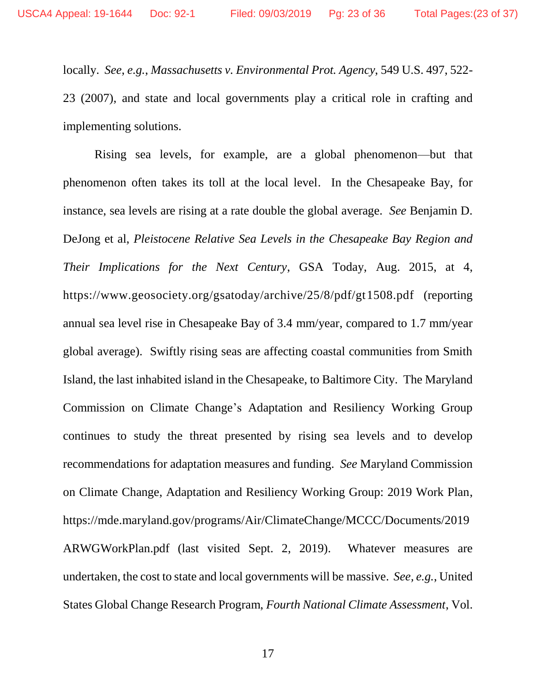locally. *See*, *e.g.*, *Massachusetts v. Environmental Prot. Agency*, 549 U.S. 497, 522- 23 (2007), and state and local governments play a critical role in crafting and implementing solutions.

Rising sea levels, for example, are a global phenomenon—but that phenomenon often takes its toll at the local level. In the Chesapeake Bay, for instance, sea levels are rising at a rate double the global average. *See* Benjamin D. DeJong et al, *Pleistocene Relative Sea Levels in the Chesapeake Bay Region and Their Implications for the Next Century*, GSA Today, Aug. 2015, at 4, https://www.geosociety.org/gsatoday/archive/25/8/pdf/gt1508.pdf (reporting annual sea level rise in Chesapeake Bay of 3.4 mm/year, compared to 1.7 mm/year global average). Swiftly rising seas are affecting coastal communities from Smith Island, the last inhabited island in the Chesapeake, to Baltimore City. The Maryland Commission on Climate Change's Adaptation and Resiliency Working Group continues to study the threat presented by rising sea levels and to develop recommendations for adaptation measures and funding. *See* Maryland Commission on Climate Change, Adaptation and Resiliency Working Group: 2019 Work Plan, https://mde.maryland.gov/programs/Air/ClimateChange/MCCC/Documents/2019 ARWGWorkPlan.pdf (last visited Sept. 2, 2019). Whatever measures are undertaken, the cost to state and local governments will be massive. *See, e.g.*, United States Global Change Research Program, *Fourth National Climate Assessment*, Vol.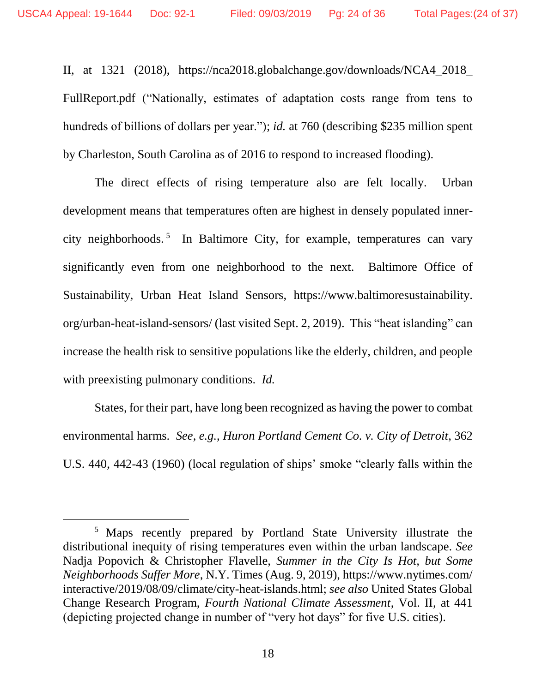l

II, at 1321 (2018), https://nca2018.globalchange.gov/downloads/NCA4\_2018\_ FullReport.pdf ("Nationally, estimates of adaptation costs range from tens to hundreds of billions of dollars per year."); *id.* at 760 (describing \$235 million spent by Charleston, South Carolina as of 2016 to respond to increased flooding).

The direct effects of rising temperature also are felt locally. Urban development means that temperatures often are highest in densely populated innercity neighborhoods. <sup>5</sup> In Baltimore City, for example, temperatures can vary significantly even from one neighborhood to the next. Baltimore Office of Sustainability, Urban Heat Island Sensors, https://www.baltimoresustainability. org/urban-heat-island-sensors/ (last visited Sept. 2, 2019). This "heat islanding" can increase the health risk to sensitive populations like the elderly, children, and people with preexisting pulmonary conditions. *Id.*

States, for their part, have long been recognized as having the power to combat environmental harms. *See, e.g.*, *Huron Portland Cement Co. v. City of Detroit*, 362 U.S. 440, 442-43 (1960) (local regulation of ships' smoke "clearly falls within the

<sup>5</sup> Maps recently prepared by Portland State University illustrate the distributional inequity of rising temperatures even within the urban landscape. *See*  Nadja Popovich & Christopher Flavelle, *Summer in the City Is Hot, but Some Neighborhoods Suffer More*, N.Y. Times (Aug. 9, 2019), https://www.nytimes.com/ interactive/2019/08/09/climate/city-heat-islands.html; *see also* United States Global Change Research Program, *Fourth National Climate Assessment*, Vol. II, at 441 (depicting projected change in number of "very hot days" for five U.S. cities).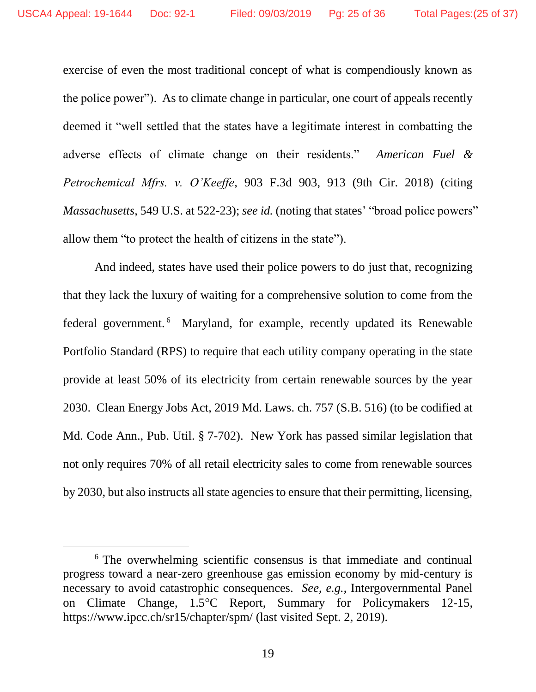exercise of even the most traditional concept of what is compendiously known as the police power"). As to climate change in particular, one court of appeals recently deemed it "well settled that the states have a legitimate interest in combatting the adverse effects of climate change on their residents." *American Fuel & Petrochemical Mfrs. v. O'Keeffe*, 903 F.3d 903, 913 (9th Cir. 2018) (citing *Massachusetts*, 549 U.S. at 522-23); *see id.* (noting that states' "broad police powers" allow them "to protect the health of citizens in the state").

And indeed, states have used their police powers to do just that, recognizing that they lack the luxury of waiting for a comprehensive solution to come from the federal government. <sup>6</sup> Maryland, for example, recently updated its Renewable Portfolio Standard (RPS) to require that each utility company operating in the state provide at least 50% of its electricity from certain renewable sources by the year 2030. Clean Energy Jobs Act, 2019 Md. Laws. ch. 757 (S.B. 516) (to be codified at Md. Code Ann., Pub. Util. § 7-702). New York has passed similar legislation that not only requires 70% of all retail electricity sales to come from renewable sources by 2030, but also instructs all state agencies to ensure that their permitting, licensing,

l

<sup>&</sup>lt;sup>6</sup> The overwhelming scientific consensus is that immediate and continual progress toward a near-zero greenhouse gas emission economy by mid-century is necessary to avoid catastrophic consequences. *See*, *e.g.*, Intergovernmental Panel on Climate Change, 1.5<sup>o</sup>C Report, Summary for Policymakers 12-15, https://www.ipcc.ch/sr15/chapter/spm/ (last visited Sept. 2, 2019).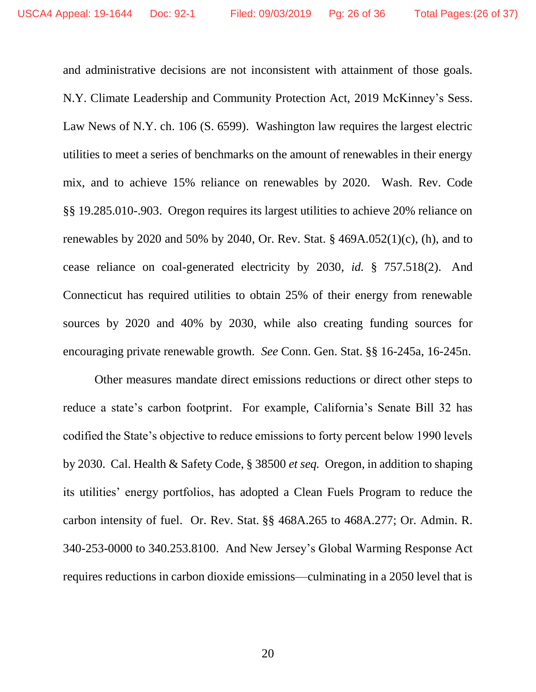and administrative decisions are not inconsistent with attainment of those goals. N.Y. Climate Leadership and Community Protection Act, 2019 McKinney's Sess. Law News of N.Y. ch. 106 (S. 6599). Washington law requires the largest electric utilities to meet a series of benchmarks on the amount of renewables in their energy mix, and to achieve 15% reliance on renewables by 2020. Wash. Rev. Code §§ 19.285.010-.903. Oregon requires its largest utilities to achieve 20% reliance on renewables by 2020 and 50% by 2040, Or. Rev. Stat. § 469A.052(1)(c), (h), and to cease reliance on coal-generated electricity by 2030, *id.* § 757.518(2). And Connecticut has required utilities to obtain 25% of their energy from renewable sources by 2020 and 40% by 2030, while also creating funding sources for encouraging private renewable growth. *See* Conn. Gen. Stat. §§ 16-245a, 16-245n.

Other measures mandate direct emissions reductions or direct other steps to reduce a state's carbon footprint. For example, California's Senate Bill 32 has codified the State's objective to reduce emissions to forty percent below 1990 levels by 2030. Cal. Health & Safety Code, § 38500 *et seq.* Oregon, in addition to shaping its utilities' energy portfolios, has adopted a Clean Fuels Program to reduce the carbon intensity of fuel. Or. Rev. Stat. §§ 468A.265 to 468A.277; Or. Admin. R. 340-253-0000 to 340.253.8100. And New Jersey's Global Warming Response Act requires reductions in carbon dioxide emissions—culminating in a 2050 level that is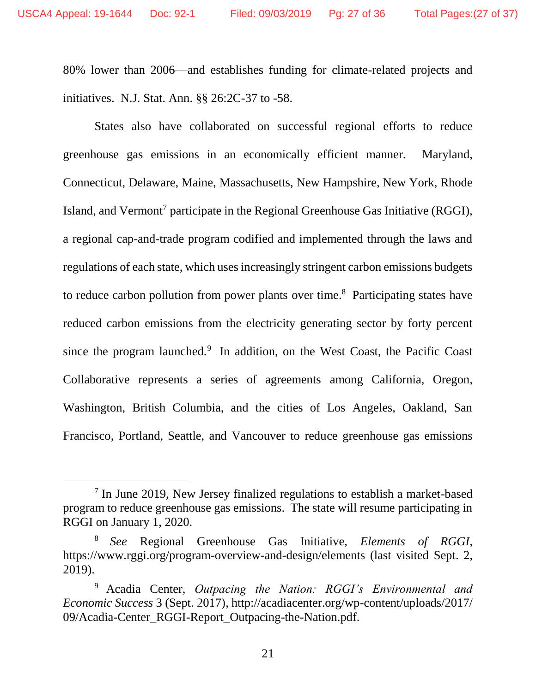$\overline{a}$ 

80% lower than 2006—and establishes funding for climate-related projects and initiatives. N.J. Stat. Ann. §§ 26:2C-37 to -58.

States also have collaborated on successful regional efforts to reduce greenhouse gas emissions in an economically efficient manner. Maryland, Connecticut, Delaware, Maine, Massachusetts, New Hampshire, New York, Rhode Island, and Vermont<sup>7</sup> participate in the Regional Greenhouse Gas Initiative (RGGI), a regional cap-and-trade program codified and implemented through the laws and regulations of each state, which uses increasingly stringent carbon emissions budgets to reduce carbon pollution from power plants over time.<sup>8</sup> Participating states have reduced carbon emissions from the electricity generating sector by forty percent since the program launched. $9$  In addition, on the West Coast, the Pacific Coast Collaborative represents a series of agreements among California, Oregon, Washington, British Columbia, and the cities of Los Angeles, Oakland, San Francisco, Portland, Seattle, and Vancouver to reduce greenhouse gas emissions

<sup>&</sup>lt;sup>7</sup> In June 2019, New Jersey finalized regulations to establish a market-based program to reduce greenhouse gas emissions. The state will resume participating in RGGI on January 1, 2020.

<sup>8</sup> *See* Regional Greenhouse Gas Initiative, *Elements of RGGI*, https://www.rggi.org/program-overview-and-design/elements (last visited Sept. 2, 2019).

<sup>9</sup> Acadia Center, *Outpacing the Nation: RGGI's Environmental and Economic Success* 3 (Sept. 2017), http://acadiacenter.org/wp-content/uploads/2017/ 09/Acadia-Center\_RGGI-Report\_Outpacing-the-Nation.pdf.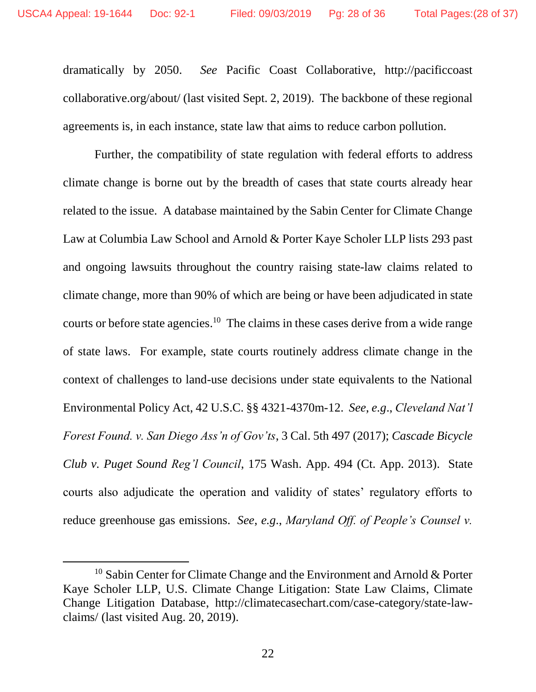$\overline{a}$ 

dramatically by 2050. *See* Pacific Coast Collaborative, http://pacificcoast collaborative.org/about/ (last visited Sept. 2, 2019). The backbone of these regional agreements is, in each instance, state law that aims to reduce carbon pollution.

Further, the compatibility of state regulation with federal efforts to address climate change is borne out by the breadth of cases that state courts already hear related to the issue. A database maintained by the Sabin Center for Climate Change Law at Columbia Law School and Arnold & Porter Kaye Scholer LLP lists 293 past and ongoing lawsuits throughout the country raising state-law claims related to climate change, more than 90% of which are being or have been adjudicated in state courts or before state agencies.<sup>10</sup> The claims in these cases derive from a wide range of state laws. For example, state courts routinely address climate change in the context of challenges to land-use decisions under state equivalents to the National Environmental Policy Act, 42 U.S.C. §§ 4321-4370m-12. *See*, *e.g*., *Cleveland Nat'l Forest Found. v. San Diego Ass'n of Gov'ts*, 3 Cal. 5th 497 (2017); *Cascade Bicycle Club v. Puget Sound Reg'l Council*, 175 Wash. App. 494 (Ct. App. 2013). State courts also adjudicate the operation and validity of states' regulatory efforts to reduce greenhouse gas emissions. *See*, *e.g*., *Maryland Off. of People's Counsel v.* 

<sup>&</sup>lt;sup>10</sup> Sabin Center for Climate Change and the Environment and Arnold & Porter Kaye Scholer LLP, U.S. Climate Change Litigation: State Law Claims, Climate Change Litigation Database, http://climatecasechart.com/case-category/state-lawclaims/ (last visited Aug. 20, 2019).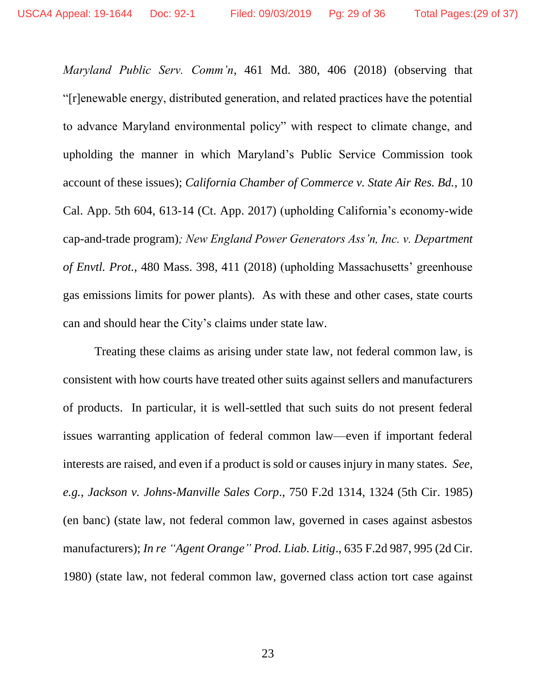*Maryland Public Serv. Comm'n*, 461 Md. 380, 406 (2018) (observing that "[r]enewable energy, distributed generation, and related practices have the potential to advance Maryland environmental policy" with respect to climate change, and upholding the manner in which Maryland's Public Service Commission took account of these issues); *California Chamber of Commerce v. State Air Res. Bd.*, 10 Cal. App. 5th 604, 613-14 (Ct. App. 2017) (upholding California's economy-wide cap-and-trade program)*; New England Power Generators Ass'n, Inc. v. Department of Envtl. Prot.*, 480 Mass. 398, 411 (2018) (upholding Massachusetts' greenhouse gas emissions limits for power plants). As with these and other cases, state courts can and should hear the City's claims under state law.

Treating these claims as arising under state law, not federal common law, is consistent with how courts have treated other suits against sellers and manufacturers of products. In particular, it is well-settled that such suits do not present federal issues warranting application of federal common law—even if important federal interests are raised, and even if a product is sold or causes injury in many states. *See*, *e.g.*, *Jackson v. Johns-Manville Sales Corp*., 750 F.2d 1314, 1324 (5th Cir. 1985) (en banc) (state law, not federal common law, governed in cases against asbestos manufacturers); *In re "Agent Orange" Prod. Liab. Litig*., 635 F.2d 987, 995 (2d Cir. 1980) (state law, not federal common law, governed class action tort case against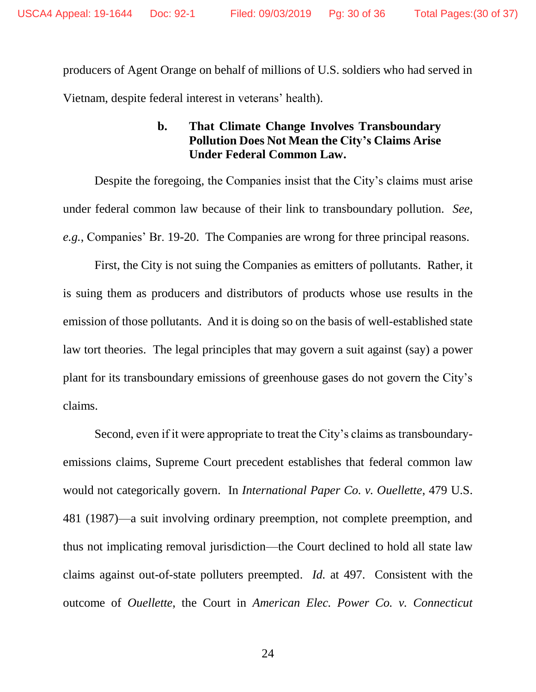producers of Agent Orange on behalf of millions of U.S. soldiers who had served in Vietnam, despite federal interest in veterans' health).

# **b. That Climate Change Involves Transboundary Pollution Does Not Mean the City's Claims Arise Under Federal Common Law.**

Despite the foregoing, the Companies insist that the City's claims must arise under federal common law because of their link to transboundary pollution. *See, e.g.*, Companies' Br. 19-20. The Companies are wrong for three principal reasons.

First, the City is not suing the Companies as emitters of pollutants. Rather, it is suing them as producers and distributors of products whose use results in the emission of those pollutants. And it is doing so on the basis of well-established state law tort theories. The legal principles that may govern a suit against (say) a power plant for its transboundary emissions of greenhouse gases do not govern the City's claims.

Second, even if it were appropriate to treat the City's claims as transboundaryemissions claims, Supreme Court precedent establishes that federal common law would not categorically govern. In *International Paper Co. v. Ouellette*, 479 U.S. 481 (1987)—a suit involving ordinary preemption, not complete preemption, and thus not implicating removal jurisdiction—the Court declined to hold all state law claims against out-of-state polluters preempted. *Id.* at 497. Consistent with the outcome of *Ouellette*, the Court in *American Elec. Power Co. v. Connecticut*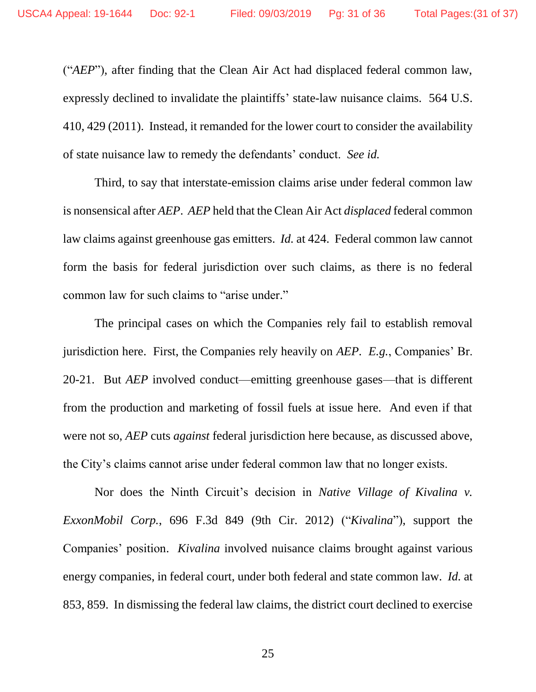("*AEP*"), after finding that the Clean Air Act had displaced federal common law, expressly declined to invalidate the plaintiffs' state-law nuisance claims. 564 U.S. 410, 429 (2011). Instead, it remanded for the lower court to consider the availability of state nuisance law to remedy the defendants' conduct. *See id.*

Third, to say that interstate-emission claims arise under federal common law is nonsensical after *AEP*. *AEP* held that the Clean Air Act *displaced* federal common law claims against greenhouse gas emitters. *Id.* at 424. Federal common law cannot form the basis for federal jurisdiction over such claims, as there is no federal common law for such claims to "arise under."

The principal cases on which the Companies rely fail to establish removal jurisdiction here. First, the Companies rely heavily on *AEP*. *E.g.*, Companies' Br. 20-21. But *AEP* involved conduct—emitting greenhouse gases—that is different from the production and marketing of fossil fuels at issue here. And even if that were not so, *AEP* cuts *against* federal jurisdiction here because, as discussed above, the City's claims cannot arise under federal common law that no longer exists.

Nor does the Ninth Circuit's decision in *Native Village of Kivalina v. ExxonMobil Corp.*, 696 F.3d 849 (9th Cir. 2012) ("*Kivalina*"), support the Companies' position. *Kivalina* involved nuisance claims brought against various energy companies, in federal court, under both federal and state common law. *Id.* at 853, 859. In dismissing the federal law claims, the district court declined to exercise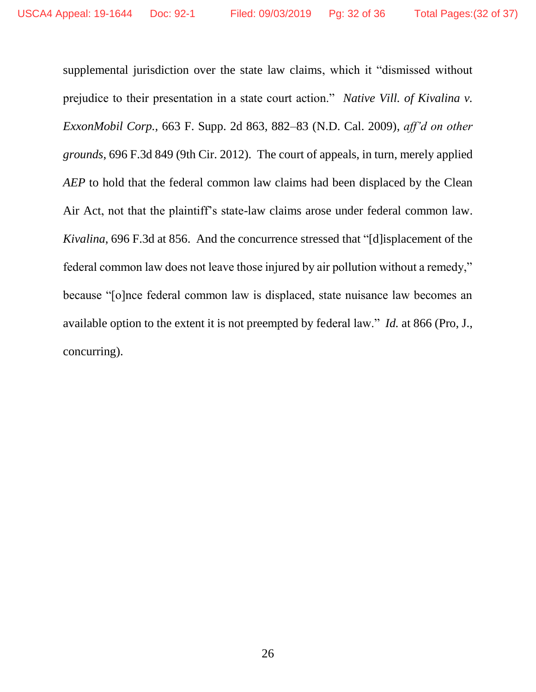supplemental jurisdiction over the state law claims, which it "dismissed without prejudice to their presentation in a state court action." *Native Vill. of Kivalina v. ExxonMobil Corp.*, 663 F. Supp. 2d 863, 882–83 (N.D. Cal. 2009), *aff'd on other grounds*, 696 F.3d 849 (9th Cir. 2012). The court of appeals, in turn, merely applied *AEP* to hold that the federal common law claims had been displaced by the Clean Air Act, not that the plaintiff's state-law claims arose under federal common law. *Kivalina*, 696 F.3d at 856. And the concurrence stressed that "[d]isplacement of the federal common law does not leave those injured by air pollution without a remedy," because "[o]nce federal common law is displaced, state nuisance law becomes an available option to the extent it is not preempted by federal law." *Id.* at 866 (Pro, J., concurring).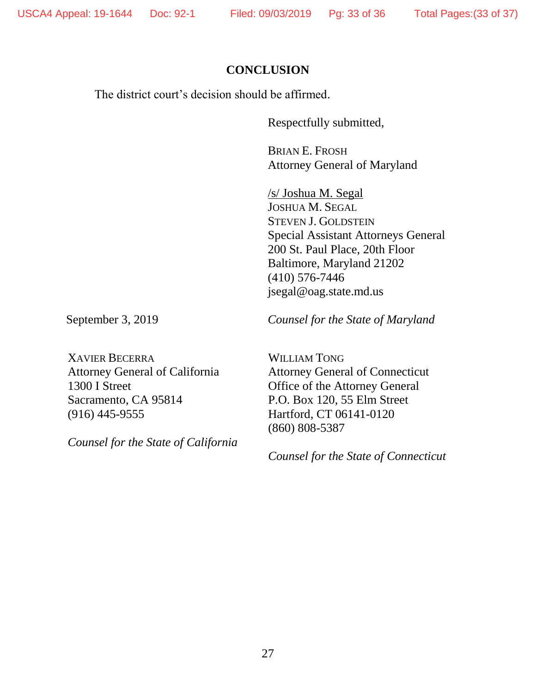#### **CONCLUSION**

The district court's decision should be affirmed.

Respectfully submitted,

BRIAN E. FROSH Attorney General of Maryland

/s/ Joshua M. Segal JOSHUA M. SEGAL STEVEN J. GOLDSTEIN Special Assistant Attorneys General 200 St. Paul Place, 20th Floor Baltimore, Maryland 21202 (410) 576-7446 jsegal@oag.state.md.us

September 3, 2019 *Counsel for the State of Maryland* 

XAVIER BECERRA Attorney General of California 1300 I Street Sacramento, CA 95814 (916) 445-9555

*Counsel for the State of California*

WILLIAM TONG Attorney General of Connecticut Office of the Attorney General P.O. Box 120, 55 Elm Street Hartford, CT 06141-0120 (860) 808-5387

*Counsel for the State of Connecticut*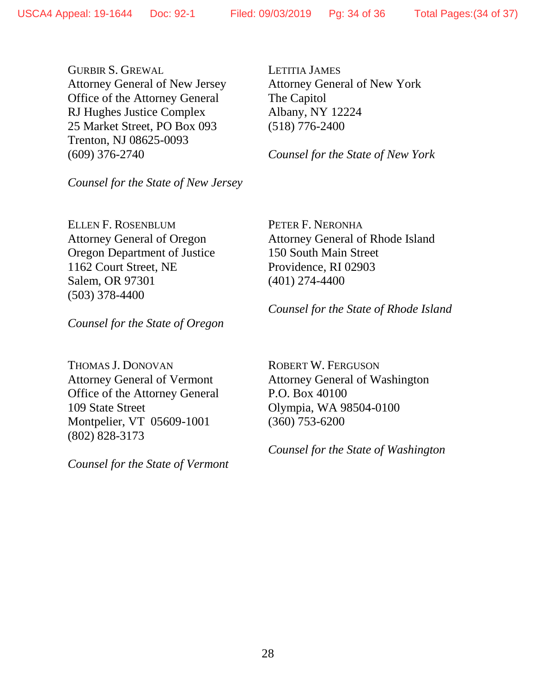GURBIR S. GREWAL Attorney General of New Jersey Office of the Attorney General RJ Hughes Justice Complex 25 Market Street, PO Box 093 Trenton, NJ 08625-0093 (609) 376-2740

*Counsel for the State of New Jersey*

ELLEN F. ROSENBLUM Attorney General of Oregon Oregon Department of Justice 1162 Court Street, NE Salem, OR 97301 (503) 378-4400

LETITIA JAMES Attorney General of New York The Capitol Albany, NY 12224 (518) 776-2400

*Counsel for the State of New York*

PETER F. NERONHA Attorney General of Rhode Island 150 South Main Street Providence, RI 02903 (401) 274-4400

*Counsel for the State of Oregon*

THOMAS J. DONOVAN Attorney General of Vermont Office of the Attorney General 109 State Street Montpelier, VT 05609-1001 (802) 828-3173

*Counsel for the State of Vermont*

*Counsel for the State of Rhode Island*

ROBERT W. FERGUSON Attorney General of Washington P.O. Box 40100 Olympia, WA 98504-0100 (360) 753-6200

*Counsel for the State of Washington*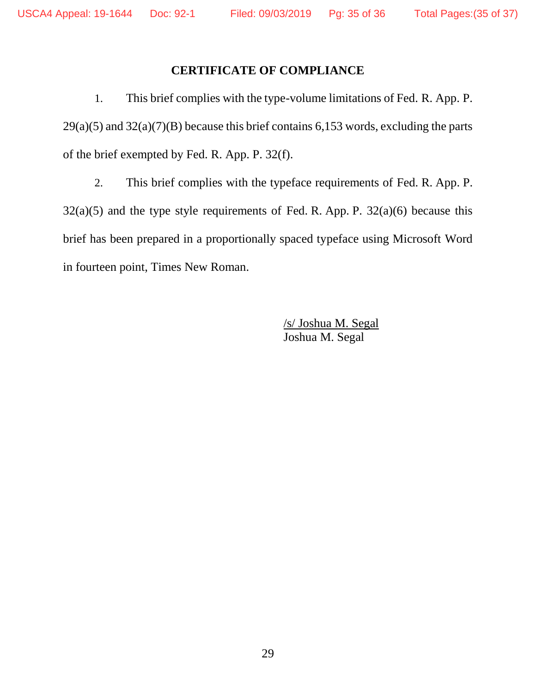## **CERTIFICATE OF COMPLIANCE**

1. This brief complies with the type-volume limitations of Fed. R. App. P.  $29(a)(5)$  and  $32(a)(7)(B)$  because this brief contains 6,153 words, excluding the parts of the brief exempted by Fed. R. App. P. 32(f).

2. This brief complies with the typeface requirements of Fed. R. App. P.  $32(a)(5)$  and the type style requirements of Fed. R. App. P.  $32(a)(6)$  because this brief has been prepared in a proportionally spaced typeface using Microsoft Word in fourteen point, Times New Roman.

> /s/ Joshua M. Segal Joshua M. Segal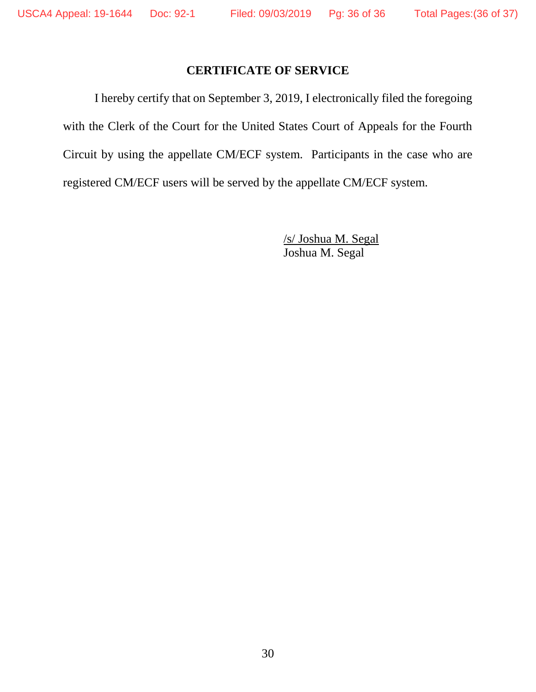## **CERTIFICATE OF SERVICE**

I hereby certify that on September 3, 2019, I electronically filed the foregoing with the Clerk of the Court for the United States Court of Appeals for the Fourth Circuit by using the appellate CM/ECF system. Participants in the case who are registered CM/ECF users will be served by the appellate CM/ECF system.

> /s/ Joshua M. Segal Joshua M. Segal